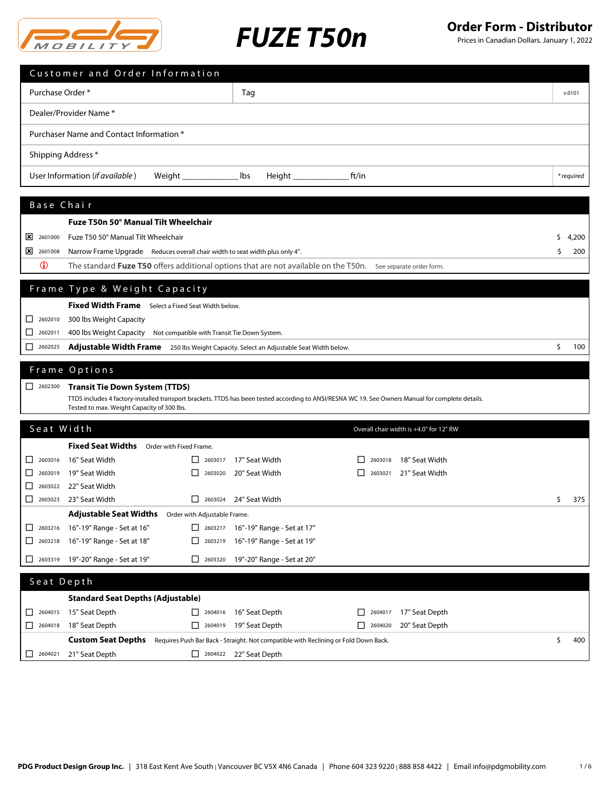

Prices in Canadian Dollars. January 1, 2022

|                                                                                                                                            |                                                        | Customer and Order Information                                               |                                                     |                                                                                                                                                   |                    |                                         |            |
|--------------------------------------------------------------------------------------------------------------------------------------------|--------------------------------------------------------|------------------------------------------------------------------------------|-----------------------------------------------------|---------------------------------------------------------------------------------------------------------------------------------------------------|--------------------|-----------------------------------------|------------|
|                                                                                                                                            | Purchase Order *                                       |                                                                              |                                                     | Tag                                                                                                                                               |                    |                                         | v.0101     |
|                                                                                                                                            |                                                        | Dealer/Provider Name *                                                       |                                                     |                                                                                                                                                   |                    |                                         |            |
| Purchaser Name and Contact Information *                                                                                                   |                                                        |                                                                              |                                                     |                                                                                                                                                   |                    |                                         |            |
| Shipping Address *                                                                                                                         |                                                        |                                                                              |                                                     |                                                                                                                                                   |                    |                                         |            |
|                                                                                                                                            |                                                        | User Information (if available)                                              | Weight __                                           | Height ______<br>lbs                                                                                                                              | ft/in              |                                         | * required |
|                                                                                                                                            |                                                        |                                                                              |                                                     |                                                                                                                                                   |                    |                                         |            |
|                                                                                                                                            | Base Chair                                             |                                                                              |                                                     |                                                                                                                                                   |                    |                                         |            |
|                                                                                                                                            |                                                        | Fuze T50n 50° Manual Tilt Wheelchair                                         |                                                     |                                                                                                                                                   |                    |                                         |            |
|                                                                                                                                            | $\frac{\times}{2601000}$                               | Fuze T50 50° Manual Tilt Wheelchair                                          |                                                     |                                                                                                                                                   |                    |                                         | s<br>4,200 |
|                                                                                                                                            | $\frac{\times}{2601008}$                               | Narrow Frame Upgrade Reduces overall chair width to seat width plus only 4". |                                                     |                                                                                                                                                   |                    |                                         | \$<br>200  |
|                                                                                                                                            | $\mathbf 0$                                            |                                                                              |                                                     | The standard Fuze T50 offers additional options that are not available on the T50n. See separate order form.                                      |                    |                                         |            |
|                                                                                                                                            |                                                        |                                                                              |                                                     |                                                                                                                                                   |                    |                                         |            |
|                                                                                                                                            |                                                        | Frame Type & Weight Capacity                                                 |                                                     |                                                                                                                                                   |                    |                                         |            |
|                                                                                                                                            |                                                        | Fixed Width Frame Select a Fixed Seat Width below.                           |                                                     |                                                                                                                                                   |                    |                                         |            |
|                                                                                                                                            | $\begin{array}{ c c c }\n\hline\n2602010\n\end{array}$ | 300 lbs Weight Capacity                                                      |                                                     |                                                                                                                                                   |                    |                                         |            |
|                                                                                                                                            | $\Box$ 2602011                                         | 400 lbs Weight Capacity Not compatible with Transit Tie Down System.         |                                                     |                                                                                                                                                   |                    |                                         |            |
| $\begin{array}{c}\n\boxed{)}\n\end{array}$<br>Adjustable Width Frame 250 lbs Weight Capacity. Select an Adjustable Seat Width below.<br>\$ |                                                        |                                                                              |                                                     |                                                                                                                                                   |                    |                                         |            |
|                                                                                                                                            |                                                        |                                                                              |                                                     |                                                                                                                                                   |                    |                                         | 100        |
|                                                                                                                                            |                                                        | Frame Options                                                                |                                                     |                                                                                                                                                   |                    |                                         |            |
|                                                                                                                                            | $\begin{array}{ c c }\n\hline\n\end{array}$ 2602300    | <b>Transit Tie Down System (TTDS)</b>                                        |                                                     |                                                                                                                                                   |                    |                                         |            |
|                                                                                                                                            |                                                        |                                                                              |                                                     | TTDS includes 4 factory-installed transport brackets. TTDS has been tested according to ANSI/RESNA WC 19. See Owners Manual for complete details. |                    |                                         |            |
|                                                                                                                                            |                                                        | Tested to max. Weight Capacity of 300 lbs.                                   |                                                     |                                                                                                                                                   |                    |                                         |            |
|                                                                                                                                            | Seat Width                                             |                                                                              |                                                     |                                                                                                                                                   |                    | Overall chair width is +4.0" for 12" RW |            |
|                                                                                                                                            |                                                        | <b>Fixed Seat Widths</b>                                                     | Order with Fixed Frame.                             |                                                                                                                                                   |                    |                                         |            |
|                                                                                                                                            | $\boxed{\phantom{000}}$ 2603016                        | 16" Seat Width                                                               | ப<br>2603017                                        | 17" Seat Width                                                                                                                                    | 2603018            | 18" Seat Width                          |            |
|                                                                                                                                            | $\Box$ 2603019                                         | 19" Seat Width                                                               | $\begin{array}{c}\n\boxed{)}\n\end{array}$          | 20" Seat Width                                                                                                                                    | $\perp$<br>2603021 | 21" Seat Width                          |            |
|                                                                                                                                            |                                                        | $\Box$ 2603022 22" Seat Width                                                |                                                     |                                                                                                                                                   |                    |                                         |            |
|                                                                                                                                            | 2603023                                                | 23" Seat Width                                                               | □<br>2603024                                        | 24" Seat Width                                                                                                                                    |                    |                                         | 375<br>\$  |
|                                                                                                                                            |                                                        | <b>Adjustable Seat Widths</b>                                                | Order with Adjustable Frame.                        |                                                                                                                                                   |                    |                                         |            |
|                                                                                                                                            | $2603216$                                              | 16"-19" Range - Set at 16"                                                   |                                                     | 2603217 16"-19" Range - Set at 17"                                                                                                                |                    |                                         |            |
|                                                                                                                                            | $\Box$ 2603218                                         | 16"-19" Range - Set at 18"                                                   | □<br>2603219                                        | 16"-19" Range - Set at 19"                                                                                                                        |                    |                                         |            |
|                                                                                                                                            |                                                        | 2603319 19"-20" Range - Set at 19"                                           | $\begin{array}{ c c }\n\hline\n\end{array}$ 2603320 | 19"-20" Range - Set at 20"                                                                                                                        |                    |                                         |            |
|                                                                                                                                            | Seat Depth                                             |                                                                              |                                                     |                                                                                                                                                   |                    |                                         |            |
|                                                                                                                                            |                                                        | <b>Standard Seat Depths (Adjustable)</b>                                     |                                                     |                                                                                                                                                   |                    |                                         |            |
|                                                                                                                                            | 2604015                                                | 15" Seat Depth                                                               | 2604016                                             | 16" Seat Depth                                                                                                                                    | 2604017<br>ப       | 17" Seat Depth                          |            |
|                                                                                                                                            | $\begin{array}{ c c }\n\hline\n\end{array}$ 2604018    | 18" Seat Depth                                                               | $\Box$ 2604019                                      | 19" Seat Depth                                                                                                                                    |                    | 20" Seat Depth                          |            |
|                                                                                                                                            |                                                        | <b>Custom Seat Depths</b>                                                    |                                                     | Requires Push Bar Back - Straight. Not compatible with Reclining or Fold Down Back.                                                               |                    |                                         | \$<br>400  |
| ப                                                                                                                                          | 2604021                                                | 21" Seat Depth                                                               |                                                     | $\Box$ 2604022 22" Seat Depth                                                                                                                     |                    |                                         |            |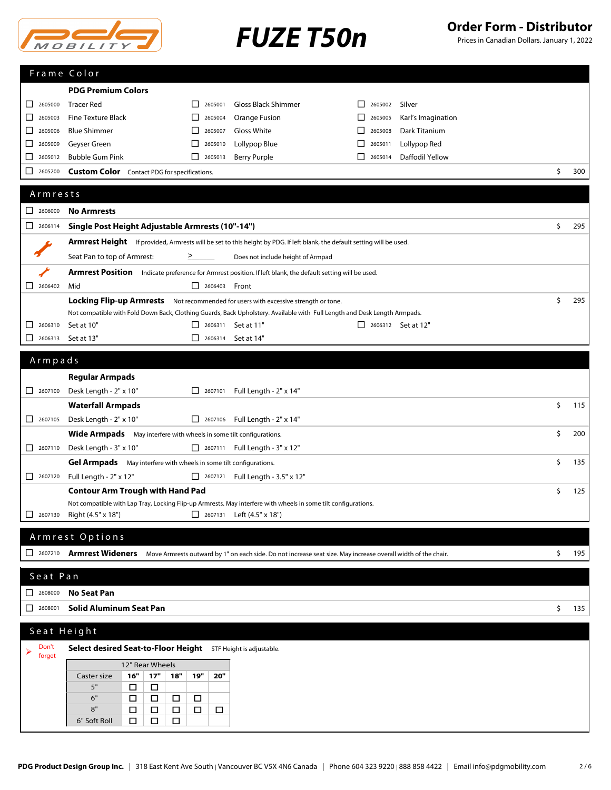

Prices in Canadian Dollars. January 1, 2022

|                                                                           | Frame Color                                                                                                                          |                         |                                       |                                         |           |
|---------------------------------------------------------------------------|--------------------------------------------------------------------------------------------------------------------------------------|-------------------------|---------------------------------------|-----------------------------------------|-----------|
|                                                                           | <b>PDG Premium Colors</b>                                                                                                            |                         |                                       |                                         |           |
| 2605000<br>⊔                                                              | <b>Tracer Red</b>                                                                                                                    | 2605001<br>$\mathsf{L}$ | <b>Gloss Black Shimmer</b>            | Silver<br>2605002<br>ΙI                 |           |
| ப<br>2605003                                                              | <b>Fine Texture Black</b>                                                                                                            | 2605004<br>ΙI           | Orange Fusion                         | Karl's Imagination<br>2605005           |           |
| □<br>2605006                                                              | <b>Blue Shimmer</b>                                                                                                                  | 2605007<br>ΙI           | Gloss White                           | Dark Titanium<br>2605008                |           |
| 2605009<br>ப                                                              | Geyser Green                                                                                                                         | 2605010<br>⊔            | Lollypop Blue                         | Lollypop Red<br>$\mathsf{L}$<br>2605011 |           |
| ⊔<br>2605012                                                              | <b>Bubble Gum Pink</b>                                                                                                               | $\Box$ 2605013          | <b>Berry Purple</b>                   | Daffodil Yellow<br>П<br>2605014         |           |
| 2605200<br>ΙI                                                             | <b>Custom Color</b> Contact PDG for specifications.                                                                                  |                         |                                       |                                         | \$<br>300 |
|                                                                           |                                                                                                                                      |                         |                                       |                                         |           |
| Armrests                                                                  |                                                                                                                                      |                         |                                       |                                         |           |
| $\Box$<br>2606000                                                         | <b>No Armrests</b>                                                                                                                   |                         |                                       |                                         |           |
|                                                                           | Single Post Height Adjustable Armrests (10"-14")                                                                                     |                         |                                       |                                         | \$<br>295 |
|                                                                           | <b>Armrest Height</b> If provided, Armrests will be set to this height by PDG. If left blank, the default setting will be used.      |                         |                                       |                                         |           |
|                                                                           | Seat Pan to top of Armrest:                                                                                                          | ≥                       | Does not include height of Armpad     |                                         |           |
|                                                                           | Armrest Position Indicate preference for Armrest position. If left blank, the default setting will be used.                          |                         |                                       |                                         |           |
| 2606402<br>$\Box$                                                         | Mid                                                                                                                                  | $\Box$ 2606403 Front    |                                       |                                         |           |
|                                                                           | Locking Flip-up Armrests Not recommended for users with excessive strength or tone.                                                  |                         |                                       |                                         | \$<br>295 |
|                                                                           | Not compatible with Fold Down Back, Clothing Guards, Back Upholstery. Available with Full Length and Desk Length Armpads.            |                         |                                       |                                         |           |
| □<br>2606310                                                              | Set at 10"                                                                                                                           | □ 2606311 Set at 11"    |                                       | $\Box$ 2606312 Set at 12"               |           |
| □<br>2606313                                                              | Set at 13"                                                                                                                           | $\Box$ 2606314          | Set at 14"                            |                                         |           |
| Armpads                                                                   |                                                                                                                                      |                         |                                       |                                         |           |
|                                                                           |                                                                                                                                      |                         |                                       |                                         |           |
|                                                                           | <b>Regular Armpads</b>                                                                                                               |                         |                                       |                                         |           |
| $\begin{array}{ c c c c c } \hline \quad & 2607100 \\\hline \end{array}$  | Desk Length - 2" x 10"                                                                                                               | 2607101                 | Full Length - 2" x 14"                |                                         |           |
|                                                                           | <b>Waterfall Armpads</b>                                                                                                             |                         |                                       |                                         | \$<br>115 |
| $\begin{array}{ c c c c c } \hline \quad & 2607105 \\ \hline \end{array}$ | Desk Length - 2" x 10"                                                                                                               |                         | $\Box$ 2607106 Full Length - 2" x 14" |                                         |           |
|                                                                           | Wide Armpads May interfere with wheels in some tilt configurations.                                                                  |                         |                                       |                                         | \$<br>200 |
| $\begin{array}{ c c c c c } \hline \quad & 2607110 \\ \hline \end{array}$ | Desk Length - 3" x 10"                                                                                                               |                         | □ 2607111 Full Length - 3" x 12"      |                                         |           |
|                                                                           | Gel Armpads May interfere with wheels in some tilt configurations.                                                                   |                         |                                       |                                         | \$<br>135 |
| $\begin{array}{ c c c c c } \hline \quad & 2607120 \\\hline \end{array}$  | Full Length - 2" x 12"                                                                                                               |                         | 2607121 Full Length - 3.5" x 12"      |                                         |           |
|                                                                           | <b>Contour Arm Trough with Hand Pad</b>                                                                                              |                         |                                       |                                         | \$<br>125 |
| $\Box$ 2607130                                                            | Not compatible with Lap Tray, Locking Flip-up Armrests. May interfere with wheels in some tilt configurations.<br>Right (4.5" x 18") |                         | 2607131 Left (4.5" x 18")             |                                         |           |
|                                                                           |                                                                                                                                      |                         |                                       |                                         |           |
|                                                                           | Armrest Options                                                                                                                      |                         |                                       |                                         |           |
| 2607210                                                                   | Armrest Wideners Move Armrests outward by 1" on each side. Do not increase seat size. May increase overall width of the chair.       |                         |                                       |                                         | \$<br>195 |
| Seat Pan                                                                  |                                                                                                                                      |                         |                                       |                                         |           |
|                                                                           |                                                                                                                                      |                         |                                       |                                         |           |
| $\begin{array}{ c c }\n\hline\n\end{array}$ 2608000                       | <b>No Seat Pan</b>                                                                                                                   |                         |                                       |                                         |           |
| 2608001<br>⊔                                                              | Solid Aluminum Seat Pan                                                                                                              |                         |                                       |                                         | \$<br>135 |
|                                                                           | Seat Height                                                                                                                          |                         |                                       |                                         |           |
| Don't                                                                     | Select desired Seat-to-Floor Height STF Height is adjustable.                                                                        |                         |                                       |                                         |           |
| forget                                                                    |                                                                                                                                      |                         |                                       |                                         |           |
|                                                                           | 12" Rear Wheels<br>16"<br>$17"$<br>18"<br>Caster size                                                                                | 19"<br>20"              |                                       |                                         |           |
|                                                                           | 5"<br>$\Box$<br>□                                                                                                                    |                         |                                       |                                         |           |
|                                                                           | 6"<br>□<br>$\Box$<br>$\Box$                                                                                                          | $\Box$                  |                                       |                                         |           |
|                                                                           |                                                                                                                                      |                         |                                       |                                         |           |
|                                                                           | 8"<br>$\Box$<br>$\Box$<br>$\Box$<br>6" Soft Roll<br>□<br>□<br>$\Box$                                                                 | $\Box$<br>$\Box$        |                                       |                                         |           |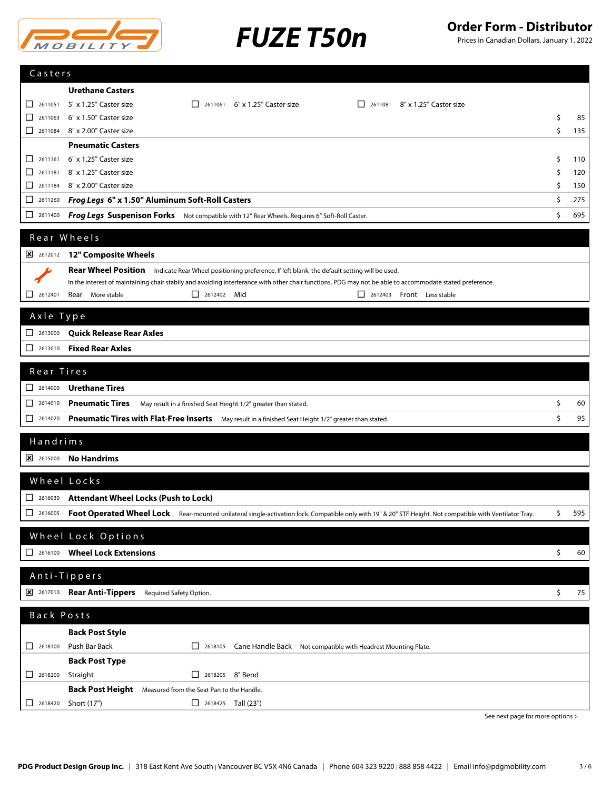



Prices in Canadian Dollars. January 1, 2022

| Casters                                                                   |                                                                                                                                                          |           |
|---------------------------------------------------------------------------|----------------------------------------------------------------------------------------------------------------------------------------------------------|-----------|
|                                                                           | <b>Urethane Casters</b>                                                                                                                                  |           |
| 2611051<br>l I                                                            | 5" x 1.25" Caster size<br>2611061 6" x 1.25" Caster size<br>2611081 8" x 1.25" Caster size                                                               |           |
| 2611063<br>ΙI                                                             | 6" x 1.50" Caster size                                                                                                                                   | \$<br>85  |
|                                                                           | 2611084 8" x 2.00" Caster size                                                                                                                           | \$<br>135 |
|                                                                           | <b>Pneumatic Casters</b>                                                                                                                                 |           |
| $\Box$<br>2611161                                                         | 6" x 1.25" Caster size                                                                                                                                   | \$<br>110 |
| □<br>2611181                                                              | 8" x 1.25" Caster size                                                                                                                                   | \$<br>120 |
| П                                                                         | 2611184 8" x 2.00" Caster size                                                                                                                           | \$<br>150 |
| 2611260<br>⊔                                                              | Frog Legs 6" x 1.50" Aluminum Soft-Roll Casters                                                                                                          | \$<br>275 |
| 2611400<br>□                                                              | Frog Legs Suspenison Forks Not compatible with 12" Rear Wheels. Requires 6" Soft-Roll Caster.                                                            | \$<br>695 |
|                                                                           | Rear Wheels                                                                                                                                              |           |
| 2612012                                                                   | 12" Composite Wheels                                                                                                                                     |           |
|                                                                           | Rear Wheel Position Indicate Rear Wheel positioning preference. If left blank, the default setting will be used.                                         |           |
|                                                                           | In the interest of maintaining chair stabily and avoiding interferance with other chair functions, PDG may not be able to accommodate stated preference. |           |
| $\mathsf{L}$<br>2612401                                                   | $\Box$ 2612402 Mid<br>Rear More stable<br>2612403 Front Less stable                                                                                      |           |
|                                                                           |                                                                                                                                                          |           |
| Axle Type                                                                 |                                                                                                                                                          |           |
| $\begin{array}{ c c c c c } \hline \quad 2613000 \end{array}$             | <b>Quick Release Rear Axles</b>                                                                                                                          |           |
| □<br>2613010                                                              | <b>Fixed Rear Axles</b>                                                                                                                                  |           |
| Rear Tires                                                                |                                                                                                                                                          |           |
| $\begin{array}{ c c c c c } \hline \quad & 2614000 \end{array}$           | <b>Urethane Tires</b>                                                                                                                                    |           |
| $\Box$<br>2614010                                                         | <b>Pneumatic Tires</b><br>May result in a finished Seat Height 1/2" greater than stated.                                                                 | \$<br>60  |
| □<br>2614020                                                              | Pneumatic Tires with Flat-Free Inserts May result in a finished Seat Height 1/2" greater than stated.                                                    | \$<br>95  |
|                                                                           |                                                                                                                                                          |           |
| Handrims                                                                  |                                                                                                                                                          |           |
| $\frac{\times}{100}$ 2615000                                              | <b>No Handrims</b>                                                                                                                                       |           |
|                                                                           | Wheel Locks                                                                                                                                              |           |
| $\begin{array}{ c c }\n\hline\n\end{array}$ 2616030                       | <b>Attendant Wheel Locks (Push to Lock)</b>                                                                                                              |           |
|                                                                           | Foot Operated Wheel Lock Rear-mounted unilateral single-activation lock. Compatible only with 19" & 20" STF Height. Not compatible with Ventilator Tray. | \$        |
| $\begin{array}{c}\n2616005\n\end{array}$                                  |                                                                                                                                                          | 595       |
|                                                                           | Wheel Lock Options                                                                                                                                       |           |
| $\Box$ 2616100                                                            | <b>Wheel Lock Extensions</b>                                                                                                                             | \$<br>60  |
|                                                                           |                                                                                                                                                          |           |
|                                                                           | Anti-Tippers                                                                                                                                             |           |
| $\frac{1}{26}$ 2617010                                                    | Rear Anti-Tippers Required Safety Option.                                                                                                                | \$<br>75  |
| Back Posts                                                                |                                                                                                                                                          |           |
|                                                                           | <b>Back Post Style</b>                                                                                                                                   |           |
| $\begin{array}{ c c c c c } \hline \quad & 2618100 \\ \hline \end{array}$ | Push Bar Back<br>$\Box$ 2618105<br>Cane Handle Back Not compatible with Headrest Mounting Plate.                                                         |           |
|                                                                           | <b>Back Post Type</b>                                                                                                                                    |           |
| $\boxed{\phantom{000}}$ 2618200                                           | Straight<br>$\Box$ 2618205 8° Bend                                                                                                                       |           |
|                                                                           | Back Post Height Measured from the Seat Pan to the Handle.                                                                                               |           |
| $\begin{array}{ c c }\n\hline\n\end{array}$ 2618420                       | Short (17")<br>$\Box$ 2618425 Tall (23")                                                                                                                 |           |

See next page for more options >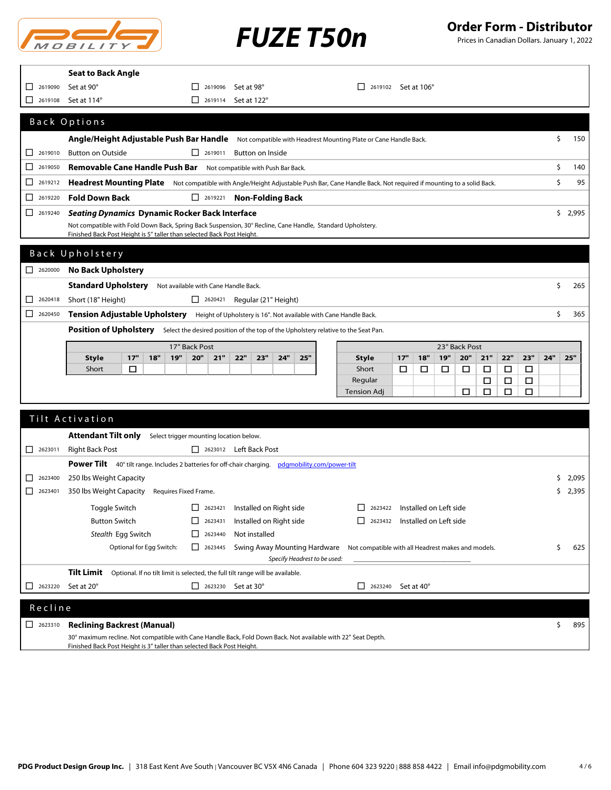

Prices in Canadian Dollars. January 1, 2022

|                                                                           | <b>Seat to Back Angle</b>                                                                                                                                                            |                                                                           |                                        |                              |                               |                                       |                                                    |                  |            |             |
|---------------------------------------------------------------------------|--------------------------------------------------------------------------------------------------------------------------------------------------------------------------------------|---------------------------------------------------------------------------|----------------------------------------|------------------------------|-------------------------------|---------------------------------------|----------------------------------------------------|------------------|------------|-------------|
| 2619090<br>⊔                                                              | Set at 90°                                                                                                                                                                           | $\begin{array}{ c c c c c } \hline \quad & 2619096 \\ \hline \end{array}$ | Set at 98°                             |                              |                               | $\Box$ 2619102 Set at 106°            |                                                    |                  |            |             |
| ⊔<br>2619108                                                              | Set at 114°                                                                                                                                                                          | $\boxed{\phantom{0}}$ 2619114                                             | Set at 122°                            |                              |                               |                                       |                                                    |                  |            |             |
|                                                                           | Back Options                                                                                                                                                                         |                                                                           |                                        |                              |                               |                                       |                                                    |                  |            |             |
|                                                                           |                                                                                                                                                                                      |                                                                           |                                        |                              |                               |                                       |                                                    |                  |            |             |
| $\Box$ 2619010                                                            | Angle/Height Adjustable Push Bar Handle Not compatible with Headrest Mounting Plate or Cane Handle Back.<br><b>Button on Outside</b>                                                 | $\Box$ 2619011                                                            |                                        |                              |                               |                                       |                                                    |                  |            | \$<br>150   |
| □<br>2619050                                                              | Removable Cane Handle Push Bar Not compatible with Push Bar Back.                                                                                                                    |                                                                           | Button on Inside                       |                              |                               |                                       |                                                    |                  |            | \$<br>140   |
|                                                                           |                                                                                                                                                                                      |                                                                           |                                        |                              |                               |                                       |                                                    |                  |            |             |
| □<br>2619212                                                              | Headrest Mounting Plate Not compatible with Angle/Height Adjustable Push Bar, Cane Handle Back. Not required if mounting to a solid Back.                                            |                                                                           |                                        |                              |                               |                                       |                                                    |                  |            | \$<br>95    |
| □<br>2619220                                                              | <b>Fold Down Back</b>                                                                                                                                                                |                                                                           | $\Box$ 2619221 <b>Non-Folding Back</b> |                              |                               |                                       |                                                    |                  |            |             |
| $\boxed{\phantom{000}}$ 2619240                                           | <b>Seating Dynamics Dynamic Rocker Back Interface</b>                                                                                                                                |                                                                           |                                        |                              |                               |                                       |                                                    |                  |            | \$2,995     |
|                                                                           | Not compatible with Fold Down Back, Spring Back Suspension, 30° Recline, Cane Handle, Standard Upholstery.<br>Finished Back Post Height is 5" taller than selected Back Post Height. |                                                                           |                                        |                              |                               |                                       |                                                    |                  |            |             |
|                                                                           |                                                                                                                                                                                      |                                                                           |                                        |                              |                               |                                       |                                                    |                  |            |             |
|                                                                           | Back Upholstery                                                                                                                                                                      |                                                                           |                                        |                              |                               |                                       |                                                    |                  |            |             |
| $\begin{array}{ c c c c c } \hline \quad & 2620000 \\ \hline \end{array}$ | <b>No Back Upholstery</b>                                                                                                                                                            |                                                                           |                                        |                              |                               |                                       |                                                    |                  |            |             |
|                                                                           | <b>Standard Upholstery</b>                                                                                                                                                           | Not available with Cane Handle Back.                                      |                                        |                              |                               |                                       |                                                    |                  |            | \$<br>265   |
| 2620418<br>ΙI                                                             | Short (18" Height)                                                                                                                                                                   |                                                                           | $\Box$ 2620421 Regular (21" Height)    |                              |                               |                                       |                                                    |                  |            |             |
| $2620450$                                                                 | <b>Tension Adjustable Upholstery</b> Height of Upholstery is 16". Not available with Cane Handle Back.                                                                               |                                                                           |                                        |                              |                               |                                       |                                                    |                  |            | \$<br>365   |
|                                                                           | Position of Upholstery Select the desired position of the top of the Upholstery relative to the Seat Pan.                                                                            |                                                                           |                                        |                              |                               |                                       |                                                    |                  |            |             |
|                                                                           |                                                                                                                                                                                      | 17" Back Post                                                             |                                        |                              |                               |                                       | 23" Back Post                                      |                  |            |             |
|                                                                           | <b>Style</b><br>17"<br>18"<br>19"                                                                                                                                                    | 20"<br>21"                                                                | 22"<br>23"<br>24"                      | 25"                          | <b>Style</b>                  | 17"<br>18"                            | 19"<br>20"                                         | 21"<br>22"       | 23"<br>24" | 25"         |
|                                                                           | Short<br>□                                                                                                                                                                           |                                                                           |                                        |                              | Short                         | □<br>□                                | □<br>□                                             | $\Box$<br>□      | $\Box$     |             |
|                                                                           |                                                                                                                                                                                      |                                                                           |                                        |                              | Regular<br><b>Tension Adj</b> |                                       | □                                                  | □<br>□<br>□<br>□ | □<br>□     |             |
|                                                                           |                                                                                                                                                                                      |                                                                           |                                        |                              |                               |                                       |                                                    |                  |            |             |
|                                                                           | Tilt Activation                                                                                                                                                                      |                                                                           |                                        |                              |                               |                                       |                                                    |                  |            |             |
|                                                                           | <b>Attendant Tilt only</b>                                                                                                                                                           | Select trigger mounting location below.                                   |                                        |                              |                               |                                       |                                                    |                  |            |             |
| $\Box$ 2623011                                                            | <b>Right Back Post</b>                                                                                                                                                               |                                                                           | 2623012 Left Back Post                 |                              |                               |                                       |                                                    |                  |            |             |
|                                                                           | Power Tilt 40° tilt range. Includes 2 batteries for off-chair charging. pdgmobility.com/power-tilt                                                                                   |                                                                           |                                        |                              |                               |                                       |                                                    |                  |            |             |
| □<br>2623400                                                              | 250 lbs Weight Capacity                                                                                                                                                              |                                                                           |                                        |                              |                               |                                       |                                                    |                  |            | 2,095<br>\$ |
| $\begin{array}{ c c }\n\hline\n\end{array}$ 2623401                       | 350 lbs Weight Capacity<br>Requires Fixed Frame.                                                                                                                                     |                                                                           |                                        |                              |                               |                                       |                                                    |                  |            | \$<br>2,395 |
|                                                                           | Toggle Switch                                                                                                                                                                        | $\begin{array}{ c c }\n\hline\n\end{array}$ 2623421                       | Installed on Right side                |                              |                               | $\Box$ 2623422 Installed on Left side |                                                    |                  |            |             |
|                                                                           | <b>Button Switch</b>                                                                                                                                                                 | $\Box$ 2623431                                                            | Installed on Right side                |                              | 2623432                       | Installed on Left side                |                                                    |                  |            |             |
|                                                                           | Stealth Egg Switch                                                                                                                                                                   | 12623440                                                                  | Not installed                          |                              |                               |                                       |                                                    |                  |            |             |
|                                                                           | Optional for Egg Switch:                                                                                                                                                             | $\Box$ 2623445                                                            | Swing Away Mounting Hardware           |                              |                               |                                       | Not compatible with all Headrest makes and models. |                  |            | \$<br>625   |
|                                                                           |                                                                                                                                                                                      |                                                                           |                                        | Specify Headrest to be used: |                               |                                       |                                                    |                  |            |             |
|                                                                           | Tilt Limit<br>Optional. If no tilt limit is selected, the full tilt range will be available.                                                                                         |                                                                           |                                        |                              |                               |                                       |                                                    |                  |            |             |
| 2623220<br>⊔                                                              | Set at 20°                                                                                                                                                                           | $\Box$ 2623230 Set at 30°                                                 |                                        | □                            | 2623240                       | Set at 40°                            |                                                    |                  |            |             |
|                                                                           |                                                                                                                                                                                      |                                                                           |                                        |                              |                               |                                       |                                                    |                  |            |             |
| Recline                                                                   |                                                                                                                                                                                      |                                                                           |                                        |                              |                               |                                       |                                                    |                  |            |             |
| $\begin{array}{ c c }\n\hline\n\end{array}$ 2623310                       | <b>Reclining Backrest (Manual)</b>                                                                                                                                                   |                                                                           |                                        |                              |                               |                                       |                                                    |                  |            | \$<br>895   |

Finished Back Post Height is 3" taller than selected Back Post Height.

30° maximum recline. Not compatible with Cane Handle Back, Fold Down Back. Not available with 22" Seat Depth.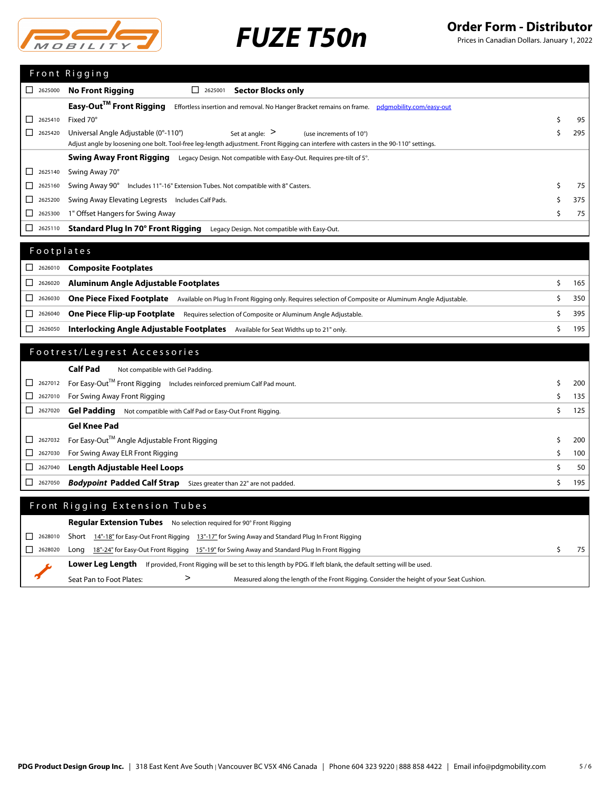

Prices in Canadian Dollars. January 1, 2022

|                                                                                        | Front Rigging                                                                                                                          |     |
|----------------------------------------------------------------------------------------|----------------------------------------------------------------------------------------------------------------------------------------|-----|
| П<br>2625000                                                                           | <b>No Front Rigging</b><br><b>Sector Blocks only</b><br>2625001                                                                        |     |
|                                                                                        | Easy-Out <sup>™</sup> Front Rigging<br>Effortless insertion and removal. No Hanger Bracket remains on frame. pdgmobility.com/easy-out  |     |
| 2625410                                                                                | Fixed 70°                                                                                                                              | 95  |
| 2625420                                                                                | Universal Angle Adjustable (0°-110°)<br>Set at angle: $>$<br>(use increments of 10°)                                                   | 295 |
|                                                                                        | Adjust angle by loosening one bolt. Tool-free leg-length adjustment. Front Rigging can interfere with casters in the 90-110° settings. |     |
|                                                                                        | <b>Swing Away Front Rigging</b> Legacy Design. Not compatible with Easy-Out. Requires pre-tilt of 5°.                                  |     |
| П<br>2625140                                                                           | Swing Away 70°                                                                                                                         |     |
| $\mathsf{L}$<br>2625160                                                                | Swing Away 90°<br>Includes 11"-16" Extension Tubes. Not compatible with 8" Casters.                                                    | 75  |
| 2625200                                                                                | Swing Away Elevating Legrests<br>Includes Calf Pads.                                                                                   | 375 |
| П<br>2625300                                                                           | 1" Offset Hangers for Swing Away                                                                                                       | 75  |
| $\begin{array}{ c c c c c } \hline \text{2625110} & \text{2625110} \hline \end{array}$ | Standard Plug In 70° Front Rigging<br>Legacy Design. Not compatible with Easy-Out.                                                     |     |
|                                                                                        |                                                                                                                                        |     |

| Footplates |
|------------|
|------------|

| $\Box$ | 2626010 Composite Footplates                                                                                                             |          |
|--------|------------------------------------------------------------------------------------------------------------------------------------------|----------|
| $\Box$ | 2626020 Aluminum Angle Adjustable Footplates                                                                                             | $165 \;$ |
| $\Box$ | 2626030 One Piece Fixed Footplate Available on Plug In Front Rigging only. Requires selection of Composite or Aluminum Angle Adjustable. | 350      |
| $\Box$ | 2626040 One Piece Flip-up Footplate Requires selection of Composite or Aluminum Angle Adjustable.                                        | 395      |
| $\Box$ | 2626050 Interlocking Angle Adjustable Footplates<br>Available for Seat Widths up to 21" only.                                            | 195      |

### Footrest/Legrest Accessories

|                    | <b>Calf Pad</b><br>Not compatible with Gel Padding.                                           |                  |
|--------------------|-----------------------------------------------------------------------------------------------|------------------|
|                    | □ 2627012 For Easy-Out <sup>™</sup> Front Rigging Includes reinforced premium Calf Pad mount. | 200 l            |
|                    | 2627010 For Swing Away Front Rigging                                                          | 135              |
|                    | $\Box$ 2627020 Gel Padding Not compatible with Calf Pad or Easy-Out Front Rigging.            | 125              |
|                    | <b>Gel Knee Pad</b>                                                                           |                  |
|                    | □ 2627032 For Easy-Out <sup>™</sup> Angle Adjustable Front Rigging                            | 200              |
|                    | 2627030 For Swing Away ELR Front Rigging                                                      | 100 <sub>1</sub> |
| $\Box$ 2627040     | Length Adjustable Heel Loops                                                                  | 50               |
| $\perp$<br>2627050 | <b>Bodypoint Padded Calf Strap</b><br>Sizes greater than 22" are not padded.                  | 195              |

### Front Rigging Extension Tubes

|  |         |                          | <b>Regular Extension Tubes</b> No selection required for 90° Front Rigging                                     |    |
|--|---------|--------------------------|----------------------------------------------------------------------------------------------------------------|----|
|  |         |                          | 2628010 Short 14"-18" for Easy-Out Front Rigging 13"-17" for Swing Away and Standard Plug In Front Rigging     |    |
|  | 2628020 |                          | Long 18"-24" for Easy-Out Front Rigging 15"-19" for Swing Away and Standard Plug In Front Rigging              | 75 |
|  |         | Lower Lea Lenath         | If provided, Front Rigging will be set to this length by PDG. If left blank, the default setting will be used. |    |
|  |         | Seat Pan to Foot Plates: | Measured along the length of the Front Rigging. Consider the height of your Seat Cushion.                      |    |